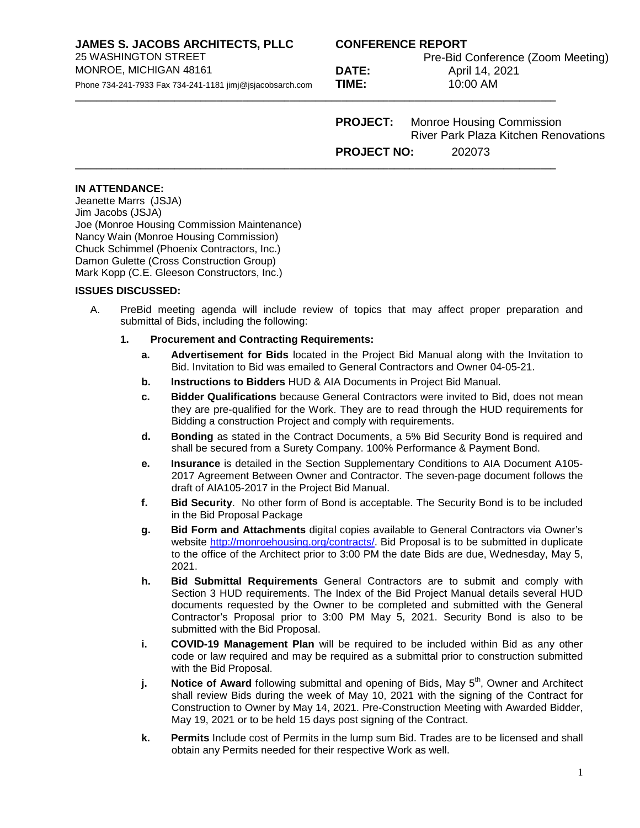**JAMES S. JACOBS ARCHITECTS, PLLC CONFERENCE REPORT**

Phone 734-241-7933 Fax 734-241-1181 jimj@jsjacobsarch.com

MONROE, MICHIGAN 48161 **DATE:** April 14, 2021<br>
Phone 734-241-7933 Fax 734-241-1181 iimi@isiacobsarch.com **TIME:** 10:00 AM

Pre-Bid Conference (Zoom Meeting)

**PROJECT:** Monroe Housing Commission River Park Plaza Kitchen Renovations **PROJECT NO:** 202073

#### **IN ATTENDANCE:**

Jeanette Marrs (JSJA) Jim Jacobs (JSJA) Joe (Monroe Housing Commission Maintenance) Nancy Wain (Monroe Housing Commission) Chuck Schimmel (Phoenix Contractors, Inc.) Damon Gulette (Cross Construction Group) Mark Kopp (C.E. Gleeson Constructors, Inc.)

### **ISSUES DISCUSSED:**

A. PreBid meeting agenda will include review of topics that may affect proper preparation and submittal of Bids, including the following:

### **1. Procurement and Contracting Requirements:**

- **a. Advertisement for Bids** located in the Project Bid Manual along with the Invitation to Bid. Invitation to Bid was emailed to General Contractors and Owner 04-05-21.
- **b. Instructions to Bidders** HUD & AIA Documents in Project Bid Manual.

**\_\_\_\_\_\_\_\_\_\_\_\_\_\_\_\_\_\_\_\_\_\_\_\_\_\_\_\_\_\_\_\_\_\_\_\_\_\_\_\_\_\_\_\_\_\_\_\_\_\_\_\_\_\_\_\_\_\_\_\_\_\_\_\_\_\_\_\_\_\_\_\_\_\_\_\_\_\_\_\_\_\_\_\_\_\_\_\_\_\_\_\_** 

**\_\_\_\_\_\_\_\_\_\_\_\_\_\_\_\_\_\_\_\_\_\_\_\_\_\_\_\_\_\_\_\_\_\_\_\_\_\_\_\_\_\_\_\_\_\_\_\_\_\_\_\_\_\_\_\_\_\_\_\_\_\_\_\_\_\_\_\_\_\_\_\_\_\_\_\_\_\_\_\_\_\_\_\_\_\_\_\_\_\_\_\_**

- **c. Bidder Qualifications** because General Contractors were invited to Bid, does not mean they are pre-qualified for the Work. They are to read through the HUD requirements for Bidding a construction Project and comply with requirements.
- **d. Bonding** as stated in the Contract Documents, a 5% Bid Security Bond is required and shall be secured from a Surety Company. 100% Performance & Payment Bond.
- **e. Insurance** is detailed in the Section Supplementary Conditions to AIA Document A105- 2017 Agreement Between Owner and Contractor. The seven-page document follows the draft of AIA105-2017 in the Project Bid Manual.
- **f. Bid Security**. No other form of Bond is acceptable. The Security Bond is to be included in the Bid Proposal Package
- **g. Bid Form and Attachments** digital copies available to General Contractors via Owner's website [http://monroehousing.org/contracts/.](http://monroehousing.org/contracts/) Bid Proposal is to be submitted in duplicate to the office of the Architect prior to 3:00 PM the date Bids are due, Wednesday, May 5, 2021.
- **h. Bid Submittal Requirements** General Contractors are to submit and comply with Section 3 HUD requirements. The Index of the Bid Project Manual details several HUD documents requested by the Owner to be completed and submitted with the General Contractor's Proposal prior to 3:00 PM May 5, 2021. Security Bond is also to be submitted with the Bid Proposal.
- **i. COVID-19 Management Plan** will be required to be included within Bid as any other code or law required and may be required as a submittal prior to construction submitted with the Bid Proposal.
- **j. Notice of Award** following submittal and opening of Bids, May 5<sup>th</sup>, Owner and Architect shall review Bids during the week of May 10, 2021 with the signing of the Contract for Construction to Owner by May 14, 2021. Pre-Construction Meeting with Awarded Bidder, May 19, 2021 or to be held 15 days post signing of the Contract.
- **k. Permits** Include cost of Permits in the lump sum Bid. Trades are to be licensed and shall obtain any Permits needed for their respective Work as well.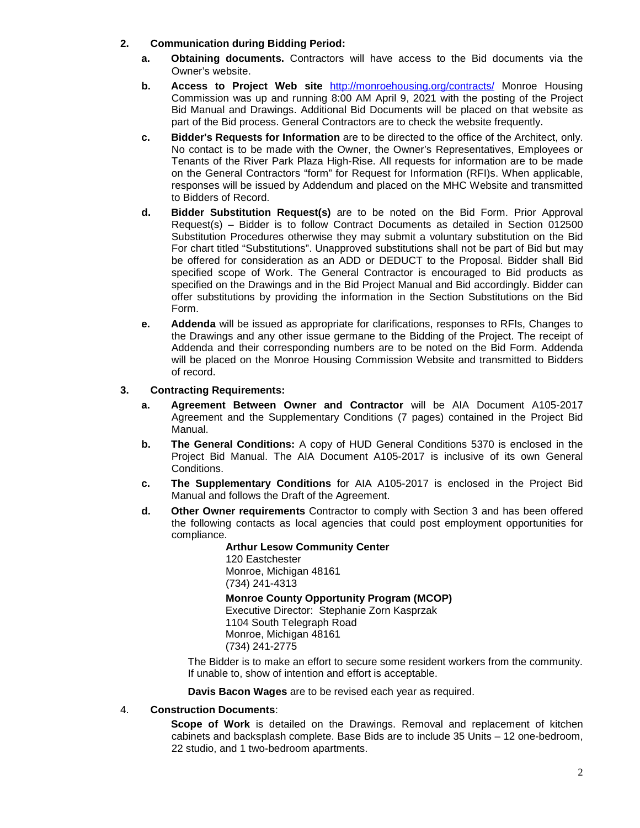### **2. Communication during Bidding Period:**

- **a. Obtaining documents.** Contractors will have access to the Bid documents via the Owner's website.
- **b. Access to Project Web site** <http://monroehousing.org/contracts/> Monroe Housing Commission was up and running 8:00 AM April 9, 2021 with the posting of the Project Bid Manual and Drawings. Additional Bid Documents will be placed on that website as part of the Bid process. General Contractors are to check the website frequently.
- **c. Bidder's Requests for Information** are to be directed to the office of the Architect, only. No contact is to be made with the Owner, the Owner's Representatives, Employees or Tenants of the River Park Plaza High-Rise. All requests for information are to be made on the General Contractors "form" for Request for Information (RFI)s. When applicable, responses will be issued by Addendum and placed on the MHC Website and transmitted to Bidders of Record.
- **d. Bidder Substitution Request(s)** are to be noted on the Bid Form. Prior Approval Request(s) – Bidder is to follow Contract Documents as detailed in Section 012500 Substitution Procedures otherwise they may submit a voluntary substitution on the Bid For chart titled "Substitutions". Unapproved substitutions shall not be part of Bid but may be offered for consideration as an ADD or DEDUCT to the Proposal. Bidder shall Bid specified scope of Work. The General Contractor is encouraged to Bid products as specified on the Drawings and in the Bid Project Manual and Bid accordingly. Bidder can offer substitutions by providing the information in the Section Substitutions on the Bid Form.
- **e. Addenda** will be issued as appropriate for clarifications, responses to RFIs, Changes to the Drawings and any other issue germane to the Bidding of the Project. The receipt of Addenda and their corresponding numbers are to be noted on the Bid Form. Addenda will be placed on the Monroe Housing Commission Website and transmitted to Bidders of record.

### **3. Contracting Requirements:**

- **a. Agreement Between Owner and Contractor** will be AIA Document A105-2017 Agreement and the Supplementary Conditions (7 pages) contained in the Project Bid Manual.
- **b. The General Conditions:** A copy of HUD General Conditions 5370 is enclosed in the Project Bid Manual. The AIA Document A105-2017 is inclusive of its own General Conditions.
- **c. The Supplementary Conditions** for AIA A105-2017 is enclosed in the Project Bid Manual and follows the Draft of the Agreement.
- **d. Other Owner requirements** Contractor to comply with Section 3 and has been offered the following contacts as local agencies that could post employment opportunities for compliance.

**Arthur Lesow Community Center** 120 Eastchester Monroe, Michigan 48161 (734) 241-4313 **Monroe County Opportunity Program (MCOP)** Executive Director: Stephanie Zorn Kasprzak 1104 South Telegraph Road Monroe, Michigan 48161 (734) 241-2775

The Bidder is to make an effort to secure some resident workers from the community. If unable to, show of intention and effort is acceptable.

**Davis Bacon Wages** are to be revised each year as required.

### 4. **Construction Documents**:

**Scope of Work** is detailed on the Drawings. Removal and replacement of kitchen cabinets and backsplash complete. Base Bids are to include 35 Units – 12 one-bedroom, 22 studio, and 1 two-bedroom apartments.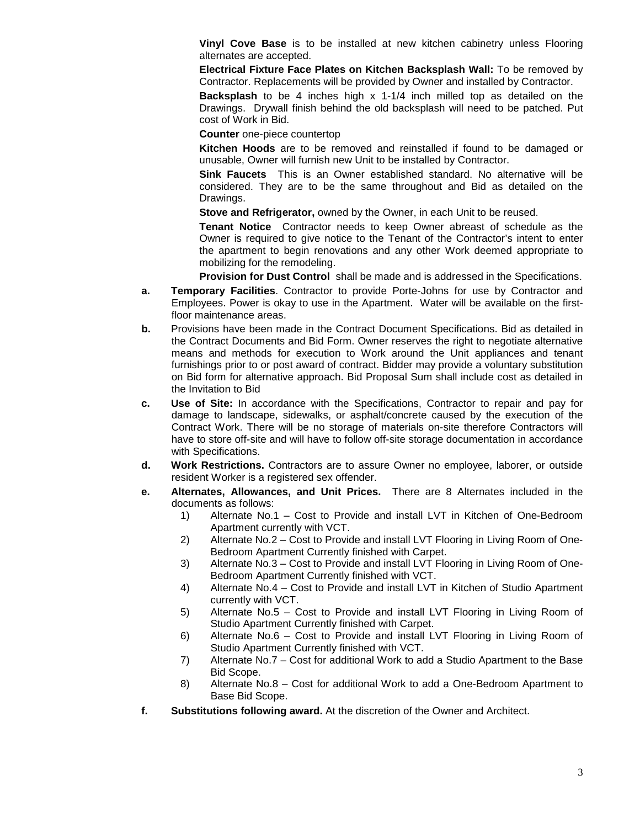**Vinyl Cove Base** is to be installed at new kitchen cabinetry unless Flooring alternates are accepted.

**Electrical Fixture Face Plates on Kitchen Backsplash Wall:** To be removed by Contractor. Replacements will be provided by Owner and installed by Contractor.

**Backsplash** to be 4 inches high x 1-1/4 inch milled top as detailed on the Drawings. Drywall finish behind the old backsplash will need to be patched. Put cost of Work in Bid.

**Counter** one-piece countertop

**Kitchen Hoods** are to be removed and reinstalled if found to be damaged or unusable, Owner will furnish new Unit to be installed by Contractor.

**Sink Faucets** This is an Owner established standard. No alternative will be considered. They are to be the same throughout and Bid as detailed on the Drawings.

**Stove and Refrigerator,** owned by the Owner, in each Unit to be reused.

**Tenant Notice** Contractor needs to keep Owner abreast of schedule as the Owner is required to give notice to the Tenant of the Contractor's intent to enter the apartment to begin renovations and any other Work deemed appropriate to mobilizing for the remodeling.

**Provision for Dust Control** shall be made and is addressed in the Specifications.

- **a. Temporary Facilities**. Contractor to provide Porte-Johns for use by Contractor and Employees. Power is okay to use in the Apartment. Water will be available on the firstfloor maintenance areas.
- **b.** Provisions have been made in the Contract Document Specifications. Bid as detailed in the Contract Documents and Bid Form. Owner reserves the right to negotiate alternative means and methods for execution to Work around the Unit appliances and tenant furnishings prior to or post award of contract. Bidder may provide a voluntary substitution on Bid form for alternative approach. Bid Proposal Sum shall include cost as detailed in the Invitation to Bid
- **c. Use of Site:** In accordance with the Specifications, Contractor to repair and pay for damage to landscape, sidewalks, or asphalt/concrete caused by the execution of the Contract Work. There will be no storage of materials on-site therefore Contractors will have to store off-site and will have to follow off-site storage documentation in accordance with Specifications.
- **d. Work Restrictions.** Contractors are to assure Owner no employee, laborer, or outside resident Worker is a registered sex offender.
- **e. Alternates, Allowances, and Unit Prices.** There are 8 Alternates included in the documents as follows:
	- 1) Alternate No.1 Cost to Provide and install LVT in Kitchen of One-Bedroom Apartment currently with VCT.
	- 2) Alternate No.2 Cost to Provide and install LVT Flooring in Living Room of One-Bedroom Apartment Currently finished with Carpet.
	- 3) Alternate No.3 Cost to Provide and install LVT Flooring in Living Room of One-Bedroom Apartment Currently finished with VCT.
	- 4) Alternate No.4 Cost to Provide and install LVT in Kitchen of Studio Apartment currently with VCT.
	- 5) Alternate No.5 Cost to Provide and install LVT Flooring in Living Room of Studio Apartment Currently finished with Carpet.
	- 6) Alternate No.6 Cost to Provide and install LVT Flooring in Living Room of Studio Apartment Currently finished with VCT.
	- 7) Alternate No.7 Cost for additional Work to add a Studio Apartment to the Base Bid Scope.
	- 8) Alternate No.8 Cost for additional Work to add a One-Bedroom Apartment to Base Bid Scope.
- **f. Substitutions following award.** At the discretion of the Owner and Architect.